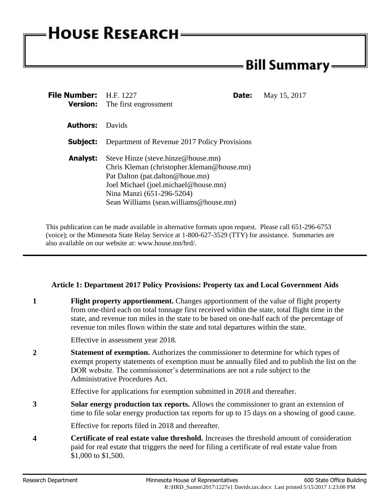# **HOUSE RESEARCH**

## - Bill Summary -

| File Number: H.F. 1227 | Date:<br><b>Version:</b> The first engrossment                                                                                                                                                                                     | May 15, 2017 |
|------------------------|------------------------------------------------------------------------------------------------------------------------------------------------------------------------------------------------------------------------------------|--------------|
| <b>Authors:</b>        | <b>Davids</b>                                                                                                                                                                                                                      |              |
| Subject:               | Department of Revenue 2017 Policy Provisions                                                                                                                                                                                       |              |
| Analyst:               | Steve Hinze (steve.hinze@house.mn)<br>Chris Kleman (christopher.kleman@house.mn)<br>Pat Dalton (pat.dalton@houe.mn)<br>Joel Michael (joel.michael@house.mn)<br>Nina Manzi (651-296-5204)<br>Sean Williams (sean.williams@house.mn) |              |

This publication can be made available in alternative formats upon request. Please call 651-296-6753 (voice); or the Minnesota State Relay Service at 1-800-627-3529 (TTY) for assistance. Summaries are also available on our website at: www.house.mn/hrd/.

#### **Article 1: Department 2017 Policy Provisions: Property tax and Local Government Aids**

**1 Flight property apportionment.** Changes apportionment of the value of flight property from one-third each on total tonnage first received within the state, total flight time in the state, and revenue ton miles in the state to be based on one-half each of the percentage of revenue ton miles flown within the state and total departures within the state.

Effective in assessment year 2018.

**2 Statement of exemption.** Authorizes the commissioner to determine for which types of exempt property statements of exemption must be annually filed and to publish the list on the DOR website. The commissioner's determinations are not a rule subject to the Administrative Procedures Act.

Effective for applications for exemption submitted in 2018 and thereafter.

**3 Solar energy production tax reports.** Allows the commissioner to grant an extension of time to file solar energy production tax reports for up to 15 days on a showing of good cause.

Effective for reports filed in 2018 and thereafter.

**4 Certificate of real estate value threshold.** Increases the threshold amount of consideration paid for real estate that triggers the need for filing a certificate of real estate value from \$1,000 to \$1,500.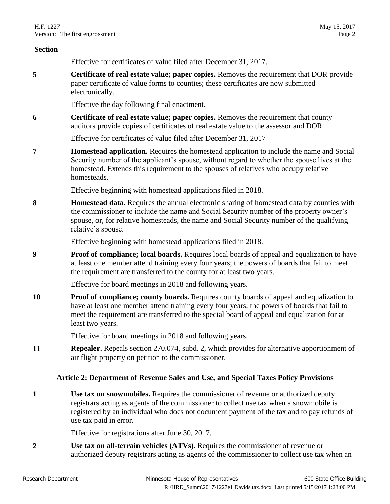|                | version. The mist engrossment<br>1 ag∪ ∠                                                                                                                                                                                                                                                                    |
|----------------|-------------------------------------------------------------------------------------------------------------------------------------------------------------------------------------------------------------------------------------------------------------------------------------------------------------|
| <b>Section</b> |                                                                                                                                                                                                                                                                                                             |
|                | Effective for certificates of value filed after December 31, 2017.                                                                                                                                                                                                                                          |
| 5              | Certificate of real estate value; paper copies. Removes the requirement that DOR provide<br>paper certificate of value forms to counties; these certificates are now submitted<br>electronically.                                                                                                           |
|                | Effective the day following final enactment.                                                                                                                                                                                                                                                                |
| 6              | Certificate of real estate value; paper copies. Removes the requirement that county<br>auditors provide copies of certificates of real estate value to the assessor and DOR.                                                                                                                                |
|                | Effective for certificates of value filed after December 31, 2017                                                                                                                                                                                                                                           |
| 7              | <b>Homestead application.</b> Requires the homestead application to include the name and Social<br>Security number of the applicant's spouse, without regard to whether the spouse lives at the<br>homestead. Extends this requirement to the spouses of relatives who occupy relative<br>homesteads.       |
|                | Effective beginning with homestead applications filed in 2018.                                                                                                                                                                                                                                              |
| 8              | Homestead data. Requires the annual electronic sharing of homestead data by counties with<br>the commissioner to include the name and Social Security number of the property owner's<br>spouse, or, for relative homesteads, the name and Social Security number of the qualifying<br>relative's spouse.    |
|                | Effective beginning with homestead applications filed in 2018.                                                                                                                                                                                                                                              |
| 9              | <b>Proof of compliance; local boards.</b> Requires local boards of appeal and equalization to have<br>at least one member attend training every four years; the powers of boards that fail to meet<br>the requirement are transferred to the county for at least two years.                                 |
|                | Effective for board meetings in 2018 and following years.                                                                                                                                                                                                                                                   |
| 10             | Proof of compliance; county boards. Requires county boards of appeal and equalization to<br>have at least one member attend training every four years; the powers of boards that fail to<br>meet the requirement are transferred to the special board of appeal and equalization for at<br>least two years. |
|                | Effective for board meetings in 2018 and following years.                                                                                                                                                                                                                                                   |
| 11             | <b>Repealer.</b> Repeals section 270.074, subd. 2, which provides for alternative apportionment of<br>air flight property on petition to the commissioner.                                                                                                                                                  |
|                | Article 2: Department of Revenue Sales and Use, and Special Taxes Policy Provisions                                                                                                                                                                                                                         |
| 1              | Use tax on snowmobiles. Requires the commissioner of revenue or authorized deputy<br>registrars acting as agents of the commissioner to collect use tax when a snowmobile is<br>registered by an individual who does not document payment of the tax and to pay refunds of<br>use tax paid in error.        |
|                | Effective for registrations after June 30, 2017.                                                                                                                                                                                                                                                            |

<span id="page-1-0"></span>**2 Use tax on all-terrain vehicles (ATVs).** Requires the commissioner of revenue or authorized deputy registrars acting as agents of the commissioner to collect use tax when an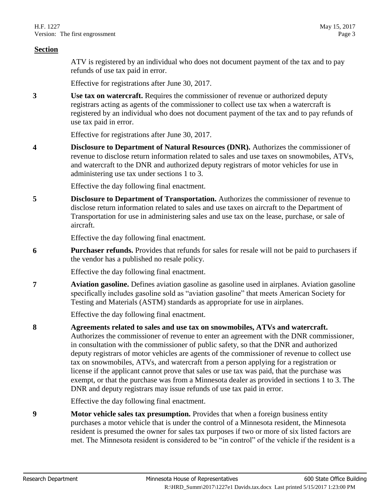#### **Section**

ATV is registered by an individual who does not document payment of the tax and to pay refunds of use tax paid in error.

Effective for registrations after June 30, 2017.

<span id="page-2-0"></span>**3 Use tax on watercraft.** Requires the commissioner of revenue or authorized deputy registrars acting as agents of the commissioner to collect use tax when a watercraft is registered by an individual who does not document payment of the tax and to pay refunds of use tax paid in error.

Effective for registrations after June 30, 2017.

**4 Disclosure to Department of Natural Resources (DNR).** Authorizes the commissioner of revenue to disclose return information related to sales and use taxes on snowmobiles, ATVs, and watercraft to the DNR and authorized deputy registrars of motor vehicles for use in administering use tax under sections [1](#page-1-0) to [3.](#page-2-0)

Effective the day following final enactment.

**5 Disclosure to Department of Transportation.** Authorizes the commissioner of revenue to disclose return information related to sales and use taxes on aircraft to the Department of Transportation for use in administering sales and use tax on the lease, purchase, or sale of aircraft.

Effective the day following final enactment.

**6 Purchaser refunds.** Provides that refunds for sales for resale will not be paid to purchasers if the vendor has a published no resale policy.

Effective the day following final enactment.

<span id="page-2-1"></span>**7 Aviation gasoline.** Defines aviation gasoline as gasoline used in airplanes. Aviation gasoline specifically includes gasoline sold as "aviation gasoline" that meets American Society for Testing and Materials (ASTM) standards as appropriate for use in airplanes.

Effective the day following final enactment.

**8 Agreements related to sales and use tax on snowmobiles, ATVs and watercraft.** 

Authorizes the commissioner of revenue to enter an agreement with the DNR commissioner, in consultation with the commissioner of public safety, so that the DNR and authorized deputy registrars of motor vehicles are agents of the commissioner of revenue to collect use tax on snowmobiles, ATVs, and watercraft from a person applying for a registration or license if the applicant cannot prove that sales or use tax was paid, that the purchase was exempt, or that the purchase was from a Minnesota dealer as provided in sections [1](#page-1-0) to [3.](#page-2-0) The DNR and deputy registrars may issue refunds of use tax paid in error.

Effective the day following final enactment.

**9 Motor vehicle sales tax presumption.** Provides that when a foreign business entity purchases a motor vehicle that is under the control of a Minnesota resident, the Minnesota resident is presumed the owner for sales tax purposes if two or more of six listed factors are met. The Minnesota resident is considered to be "in control" of the vehicle if the resident is a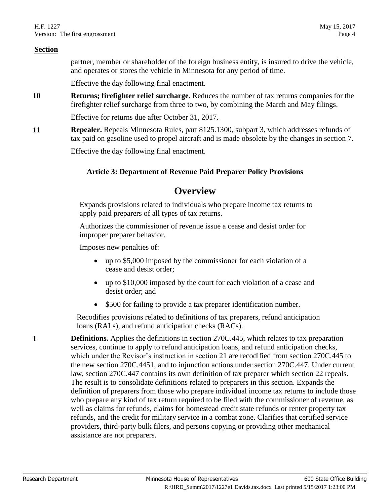partner, member or shareholder of the foreign business entity, is insured to drive the vehicle, and operates or stores the vehicle in Minnesota for any period of time.

Effective the day following final enactment.

**10 Returns; firefighter relief surcharge.** Reduces the number of tax returns companies for the firefighter relief surcharge from three to two, by combining the March and May filings.

Effective for returns due after October 31, 2017.

**11 Repealer.** Repeals Minnesota Rules, part 8125.1300, subpart 3, which addresses refunds of tax paid on gasoline used to propel aircraft and is made obsolete by the changes in section [7.](#page-2-1)

Effective the day following final enactment.

#### **Article 3: Department of Revenue Paid Preparer Policy Provisions**

### **Overview**

Expands provisions related to individuals who prepare income tax returns to apply paid preparers of all types of tax returns.

Authorizes the commissioner of revenue issue a cease and desist order for improper preparer behavior.

Imposes new penalties of:

- up to \$5,000 imposed by the commissioner for each violation of a cease and desist order;
- up to \$10,000 imposed by the court for each violation of a cease and desist order; and
- \$500 for failing to provide a tax preparer identification number.

Recodifies provisions related to definitions of tax preparers, refund anticipation loans (RALs), and refund anticipation checks (RACs).

**1 Definitions.** Applies the definitions in section 270C.445, which relates to tax preparation services, continue to apply to refund anticipation loans, and refund anticipation checks, which under the Revisor's instruction in section [21](#page-6-0) are recodified from section 270C.445 to the new section 270C.4451, and to injunction actions under section 270C.447. Under current law, section 270C.447 contains its own definition of tax preparer which section [22](#page-6-1) repeals. The result is to consolidate definitions related to preparers in this section. Expands the definition of preparers from those who prepare individual income tax returns to include those who prepare any kind of tax return required to be filed with the commissioner of revenue, as well as claims for refunds, claims for homestead credit state refunds or renter property tax refunds, and the credit for military service in a combat zone. Clarifies that certified service providers, third-party bulk filers, and persons copying or providing other mechanical assistance are not preparers.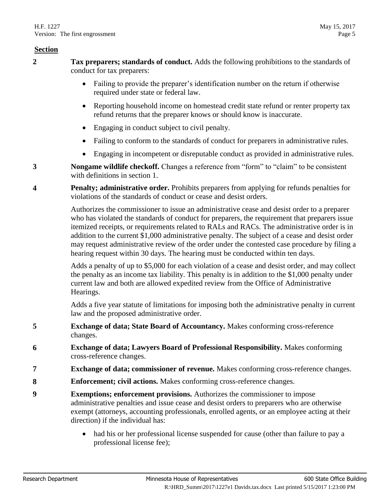#### **Section**

- **2 Tax preparers; standards of conduct.** Adds the following prohibitions to the standards of conduct for tax preparers:
	- Failing to provide the preparer's identification number on the return if otherwise required under state or federal law.
	- Reporting household income on homestead credit state refund or renter property tax refund returns that the preparer knows or should know is inaccurate.
	- Engaging in conduct subject to civil penalty.
	- Failing to conform to the standards of conduct for preparers in administrative rules.
	- Engaging in incompetent or disreputable conduct as provided in administrative rules.
- **3 Nongame wildlife checkoff.** Changes a reference from "form" to "claim" to be consistent with definitions in section [1.](#page-1-0)
- <span id="page-4-0"></span>**4 Penalty; administrative order.** Prohibits preparers from applying for refunds penalties for violations of the standards of conduct or cease and desist orders.

Authorizes the commissioner to issue an administrative cease and desist order to a preparer who has violated the standards of conduct for preparers, the requirement that preparers issue itemized receipts, or requirements related to RALs and RACs. The administrative order is in addition to the current \$1,000 administrative penalty. The subject of a cease and desist order may request administrative review of the order under the contested case procedure by filing a hearing request within 30 days. The hearing must be conducted within ten days.

Adds a penalty of up to \$5,000 for each violation of a cease and desist order, and may collect the penalty as an income tax liability. This penalty is in addition to the \$1,000 penalty under current law and both are allowed expedited review from the Office of Administrative Hearings.

Adds a five year statute of limitations for imposing both the administrative penalty in current law and the proposed administrative order.

- **5 Exchange of data; State Board of Accountancy.** Makes conforming cross-reference changes.
- **6 Exchange of data; Lawyers Board of Professional Responsibility.** Makes conforming cross-reference changes.
- **7 Exchange of data; commissioner of revenue.** Makes conforming cross-reference changes.
- **8 Enforcement; civil actions.** Makes conforming cross-reference changes.
- **9 Exemptions; enforcement provisions.** Authorizes the commissioner to impose administrative penalties and issue cease and desist orders to preparers who are otherwise exempt (attorneys, accounting professionals, enrolled agents, or an employee acting at their direction) if the individual has:
	- had his or her professional license suspended for cause (other than failure to pay a professional license fee);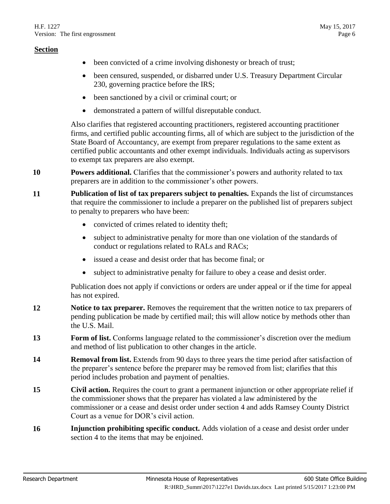- been convicted of a crime involving dishonesty or breach of trust;
- been censured, suspended, or disbarred under U.S. Treasury Department Circular 230, governing practice before the IRS;
- been sanctioned by a civil or criminal court; or
- demonstrated a pattern of willful disreputable conduct.

Also clarifies that registered accounting practitioners, registered accounting practitioner firms, and certified public accounting firms, all of which are subject to the jurisdiction of the State Board of Accountancy, are exempt from preparer regulations to the same extent as certified public accountants and other exempt individuals. Individuals acting as supervisors to exempt tax preparers are also exempt.

- **10 Powers additional.** Clarifies that the commissioner's powers and authority related to tax preparers are in addition to the commissioner's other powers.
- **11 Publication of list of tax preparers subject to penalties.** Expands the list of circumstances that require the commissioner to include a preparer on the published list of preparers subject to penalty to preparers who have been:
	- convicted of crimes related to identity theft;
	- subject to administrative penalty for more than one violation of the standards of conduct or regulations related to RALs and RACs;
	- issued a cease and desist order that has become final; or
	- subject to administrative penalty for failure to obey a cease and desist order.

Publication does not apply if convictions or orders are under appeal or if the time for appeal has not expired.

- **12 Notice to tax preparer.** Removes the requirement that the written notice to tax preparers of pending publication be made by certified mail; this will allow notice by methods other than the U.S. Mail.
- **13 Form of list.** Conforms language related to the commissioner's discretion over the medium and method of list publication to other changes in the article.
- **14 Removal from list.** Extends from 90 days to three years the time period after satisfaction of the preparer's sentence before the preparer may be removed from list; clarifies that this period includes probation and payment of penalties.
- **15 Civil action.** Requires the court to grant a permanent injunction or other appropriate relief if the commissioner shows that the preparer has violated a law administered by the commissioner or a cease and desist order under section [4](#page-4-0) and adds Ramsey County District Court as a venue for DOR's civil action.
- **16 Injunction prohibiting specific conduct.** Adds violation of a cease and desist order under section [4](#page-4-0) to the items that may be enjoined.